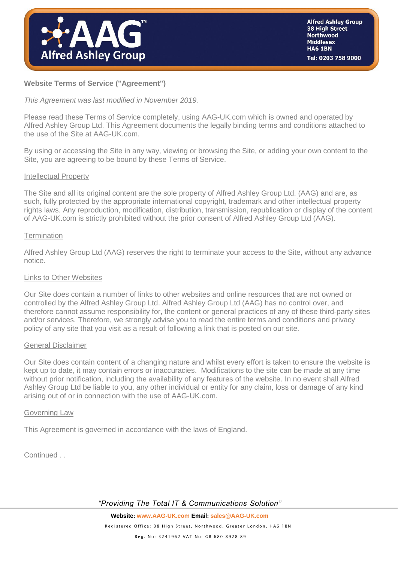

# **Website Terms of Service ("Agreement")**

*This Agreement was last modified in November 2019.*

Please read these Terms of Service completely, using AAG-UK.com which is owned and operated by Alfred Ashley Group Ltd. This Agreement documents the legally binding terms and conditions attached to the use of the Site at AAG-UK.com.

By using or accessing the Site in any way, viewing or browsing the Site, or adding your own content to the Site, you are agreeing to be bound by these Terms of Service.

#### Intellectual Property

The Site and all its original content are the sole property of Alfred Ashley Group Ltd. (AAG) and are, as such, fully protected by the appropriate international copyright, trademark and other intellectual property rights laws. Any reproduction, modification, distribution, transmission, republication or display of the content of [AAG-UK.com](http://www.aag-uk.com/) is strictly prohibited without the prior consent of Alfred Ashley Group Ltd (AAG).

#### **Termination**

Alfred Ashley Group Ltd (AAG) reserves the right to terminate your access to the Site, without any advance notice.

### Links to Other Websites

Our Site does contain a number of links to other websites and online resources that are not owned or controlled by the Alfred Ashley Group Ltd. Alfred Ashley Group Ltd (AAG) has no control over, and therefore cannot assume responsibility for, the content or general practices of any of these third-party sites and/or services. Therefore, we strongly advise you to read the entire terms and conditions and privacy policy of any site that you visit as a result of following a link that is posted on our site.

#### General Disclaimer

Our Site does contain content of a changing nature and whilst every effort is taken to ensure the website is kept up to date, it may contain errors or inaccuracies. Modifications to the site can be made at any time without prior notification, including the availability of any features of the website. In no event shall Alfred Ashley Group Ltd be liable to you, any other individual or entity for any claim, loss or damage of any kind arising out of or in connection with the use of [AAG-UK.com.](http://www.aag-uk.com/)

#### Governing Law

This Agreement is governed in accordance with the laws of England.

Continued . .